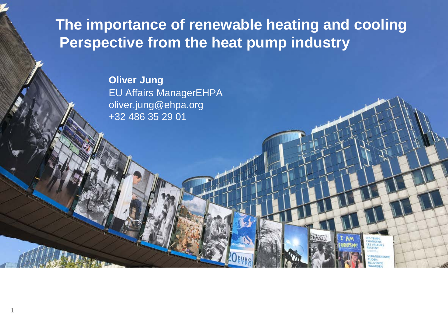**The importance of renewable heating and cooling Perspective from the heat pump industry**

DENZIALE

AM

**HANGENT,**<br>LES VALEURS<br>RESTENT ERANDERENDE **IDEN** 

**Oliver Jung** EU Affairs ManagerEHPA oliver.jung@ehpa.org +32 486 35 29 01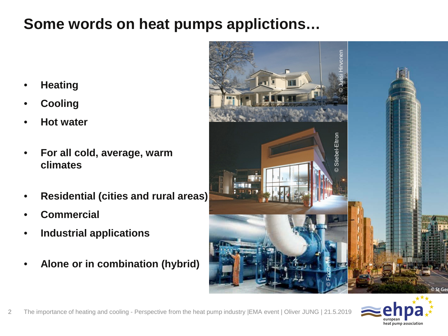## **Some words on heat pumps applictions…**

- **Heating**
- **Cooling**
- **Hot water**
- **For all cold, average, warm climates**
- **Residential (cities and rural areas)**
- **Commercial**
- **Industrial applications**
- **Alone or in combination (hybrid)**



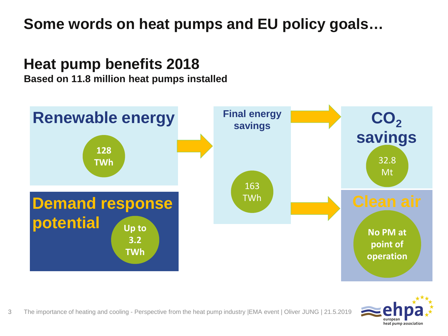# **Some words on heat pumps and EU policy goals…**

## **Heat pump benefits 2018**

**Based on 11.8 million heat pumps installed**



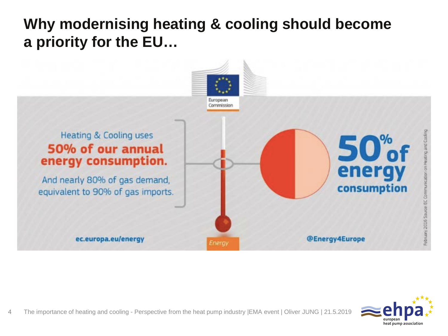# **Why modernising heating & cooling should become a priority for the EU…**



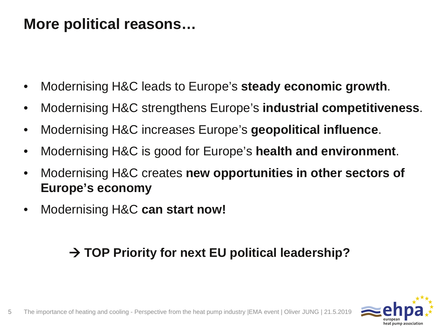## **More political reasons…**

- Modernising H&C leads to Europe's **steady economic growth**.
- Modernising H&C strengthens Europe's **industrial competitiveness**.
- Modernising H&C increases Europe's **geopolitical influence**.
- Modernising H&C is good for Europe's **health and environment**.
- Modernising H&C creates **new opportunities in other sectors of Europe's economy**
- Modernising H&C **can start now!**

#### **→ TOP Priority for next EU political leadership?**

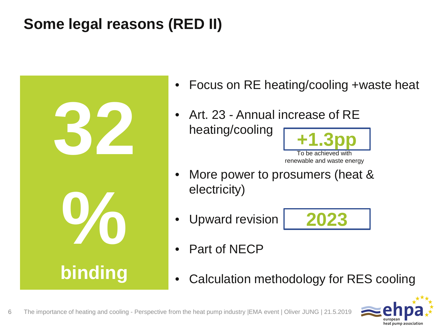# **Some legal reasons (RED II)**



- Focus on RE heating/cooling +waste heat
- Art. 23 Annual increase of RE heating/cooling



- More power to prosumers (heat & electricity)
- Upward revision



- Part of NECP
- Calculation methodology for RES cooling

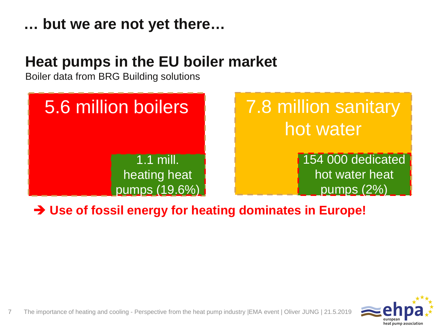#### **… but we are not yet there…**

## **Heat pumps in the EU boiler market**

Boiler data from BRG Building solutions



#### **Use of fossil energy for heating dominates in Europe!**

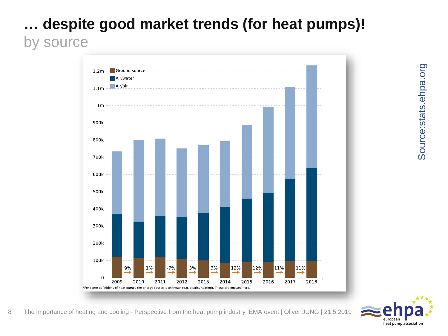## **… despite good market trends (for heat pumps)!** by source



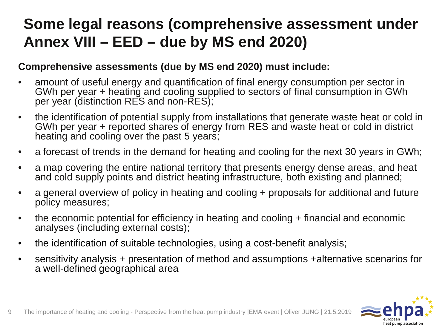# **Some legal reasons (comprehensive assessment under Annex VIII – EED – due by MS end 2020)**

#### **Comprehensive assessments (due by MS end 2020) must include:**

- amount of useful energy and quantification of final energy consumption per sector in GWh per year + heating and cooling supplied to sectors of final consumption in GWh per year (distinction RES and non-RES);
- the identification of potential supply from installations that generate waste heat or cold in GWh per year + reported shares of energy from RES and waste heat or cold in district heating and cooling over the past 5 years;
- a forecast of trends in the demand for heating and cooling for the next 30 years in GWh;
- a map covering the entire national territory that presents energy dense areas, and heat and cold supply points and district heating infrastructure, both existing and planned;
- a general overview of policy in heating and cooling + proposals for additional and future policy measures;
- the economic potential for efficiency in heating and cooling + financial and economic analyses (including external costs);
- the identification of suitable technologies, using a cost-benefit analysis;
- sensitivity analysis + presentation of method and assumptions +alternative scenarios for a well-defined geographical area

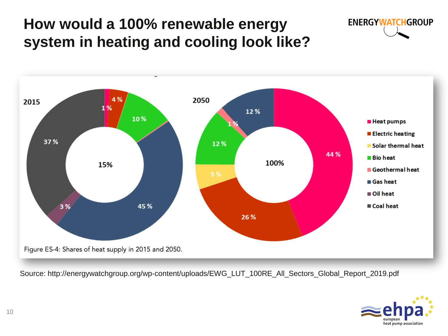# **How would a 100% renewable energy system in heating and cooling look like?**





Source: http://energywatchgroup.org/wp-content/uploads/EWG\_LUT\_100RE\_All\_Sectors\_Global\_Report\_2019.pdf

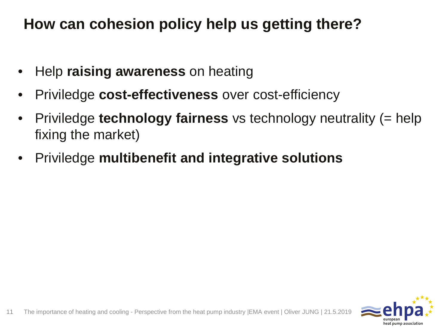# **How can cohesion policy help us getting there?**

- Help **raising awareness** on heating
- Priviledge **cost-effectiveness** over cost-efficiency
- Priviledge **technology fairness** vs technology neutrality (= help fixing the market)
- Priviledge **multibenefit and integrative solutions**